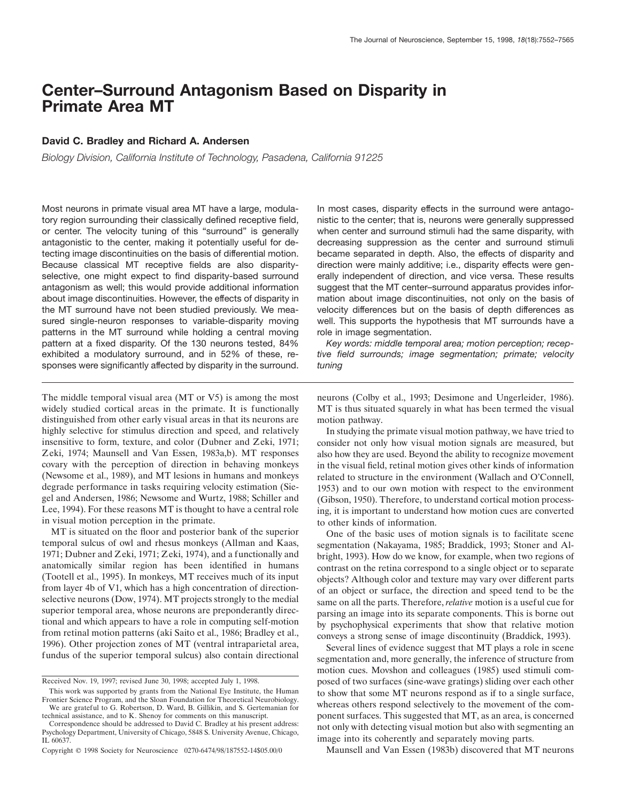# **Center–Surround Antagonism Based on Disparity in Primate Area MT**

# **David C. Bradley and Richard A. Andersen**

*Biology Division, California Institute of Technology, Pasadena, California 91225*

Most neurons in primate visual area MT have a large, modulatory region surrounding their classically defined receptive field, or center. The velocity tuning of this "surround" is generally antagonistic to the center, making it potentially useful for detecting image discontinuities on the basis of differential motion. Because classical MT receptive fields are also disparityselective, one might expect to find disparity-based surround antagonism as well; this would provide additional information about image discontinuities. However, the effects of disparity in the MT surround have not been studied previously. We measured single-neuron responses to variable-disparity moving patterns in the MT surround while holding a central moving pattern at a fixed disparity. Of the 130 neurons tested, 84% exhibited a modulatory surround, and in 52% of these, responses were significantly affected by disparity in the surround.

The middle temporal visual area (MT or V5) is among the most widely studied cortical areas in the primate. It is functionally distinguished from other early visual areas in that its neurons are highly selective for stimulus direction and speed, and relatively insensitive to form, texture, and color (Dubner and Zeki, 1971; Zeki, 1974; Maunsell and Van Essen, 1983a,b). MT responses covary with the perception of direction in behaving monkeys (Newsome et al., 1989), and MT lesions in humans and monkeys degrade performance in tasks requiring velocity estimation (Siegel and Andersen, 1986; Newsome and Wurtz, 1988; Schiller and Lee, 1994). For these reasons MT is thought to have a central role in visual motion perception in the primate.

MT is situated on the floor and posterior bank of the superior temporal sulcus of owl and rhesus monkeys (Allman and Kaas, 1971; Dubner and Zeki, 1971; Zeki, 1974), and a functionally and anatomically similar region has been identified in humans (Tootell et al., 1995). In monkeys, MT receives much of its input from layer 4b of V1, which has a high concentration of directionselective neurons (Dow, 1974). MT projects strongly to the medial superior temporal area, whose neurons are preponderantly directional and which appears to have a role in computing self-motion from retinal motion patterns (aki Saito et al., 1986; Bradley et al., 1996). Other projection zones of MT (ventral intraparietal area, fundus of the superior temporal sulcus) also contain directional In most cases, disparity effects in the surround were antagonistic to the center; that is, neurons were generally suppressed when center and surround stimuli had the same disparity, with decreasing suppression as the center and surround stimuli became separated in depth. Also, the effects of disparity and direction were mainly additive; i.e., disparity effects were generally independent of direction, and vice versa. These results suggest that the MT center–surround apparatus provides information about image discontinuities, not only on the basis of velocity differences but on the basis of depth differences as well. This supports the hypothesis that MT surrounds have a role in image segmentation.

*Key words: middle temporal area; motion perception; receptive field surrounds; image segmentation; primate; velocity tuning*

neurons (Colby et al., 1993; Desimone and Ungerleider, 1986). MT is thus situated squarely in what has been termed the visual motion pathway.

In studying the primate visual motion pathway, we have tried to consider not only how visual motion signals are measured, but also how they are used. Beyond the ability to recognize movement in the visual field, retinal motion gives other kinds of information related to structure in the environment (Wallach and O'Connell, 1953) and to our own motion with respect to the environment (Gibson, 1950). Therefore, to understand cortical motion processing, it is important to understand how motion cues are converted to other kinds of information.

One of the basic uses of motion signals is to facilitate scene segmentation (Nakayama, 1985; Braddick, 1993; Stoner and Albright, 1993). How do we know, for example, when two regions of contrast on the retina correspond to a single object or to separate objects? Although color and texture may vary over different parts of an object or surface, the direction and speed tend to be the same on all the parts. Therefore, *relative* motion is a useful cue for parsing an image into its separate components. This is borne out by psychophysical experiments that show that relative motion conveys a strong sense of image discontinuity (Braddick, 1993).

Several lines of evidence suggest that MT plays a role in scene segmentation and, more generally, the inference of structure from motion cues. Movshon and colleagues (1985) used stimuli composed of two surfaces (sine-wave gratings) sliding over each other to show that some MT neurons respond as if to a single surface, whereas others respond selectively to the movement of the component surfaces. This suggested that MT, as an area, is concerned not only with detecting visual motion but also with segmenting an image into its coherently and separately moving parts.

Maunsell and Van Essen (1983b) discovered that MT neurons

Received Nov. 19, 1997; revised June 30, 1998; accepted July 1, 1998.

This work was supported by grants from the National Eye Institute, the Human Frontier Science Program, and the Sloan Foundation for Theoretical Neurobiology. We are grateful to G. Robertson, D. Ward, B. Gillikin, and S. Gertemanian for technical assistance, and to K. Shenoy for comments on this manuscript.

Correspondence should be addressed to David C. Bradley at his present address: Psychology Department, University of Chicago, 5848 S. University Avenue, Chicago, IL 60637.

Copyright © 1998 Society for Neuroscience 0270-6474/98/187552-14\$05.00/0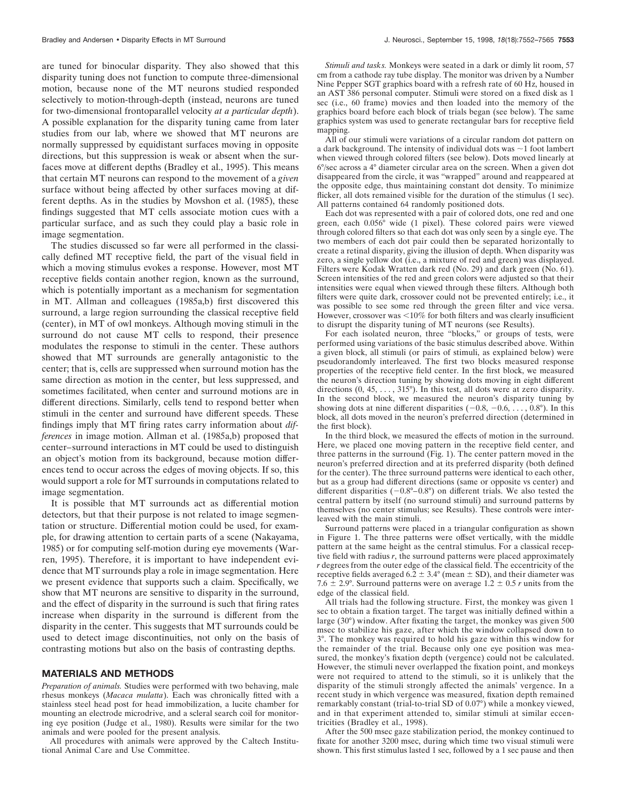are tuned for binocular disparity. They also showed that this disparity tuning does not function to compute three-dimensional motion, because none of the MT neurons studied responded selectively to motion-through-depth (instead, neurons are tuned for two-dimensional frontoparallel velocity *at a particular depth*). A possible explanation for the disparity tuning came from later studies from our lab, where we showed that MT neurons are normally suppressed by equidistant surfaces moving in opposite directions, but this suppression is weak or absent when the surfaces move at different depths (Bradley et al., 1995). This means that certain MT neurons can respond to the movement of a *given* surface without being affected by other surfaces moving at different depths. As in the studies by Movshon et al. (1985), these findings suggested that MT cells associate motion cues with a particular surface, and as such they could play a basic role in image segmentation.

The studies discussed so far were all performed in the classically defined MT receptive field, the part of the visual field in which a moving stimulus evokes a response. However, most MT receptive fields contain another region, known as the surround, which is potentially important as a mechanism for segmentation in MT. Allman and colleagues (1985a,b) first discovered this surround, a large region surrounding the classical receptive field (center), in MT of owl monkeys. Although moving stimuli in the surround do not cause MT cells to respond, their presence modulates the response to stimuli in the center. These authors showed that MT surrounds are generally antagonistic to the center; that is, cells are suppressed when surround motion has the same direction as motion in the center, but less suppressed, and sometimes facilitated, when center and surround motions are in different directions. Similarly, cells tend to respond better when stimuli in the center and surround have different speeds. These findings imply that MT firing rates carry information about *differences* in image motion. Allman et al. (1985a,b) proposed that center–surround interactions in MT could be used to distinguish an object's motion from its background, because motion differences tend to occur across the edges of moving objects. If so, this would support a role for MT surrounds in computations related to image segmentation.

It is possible that MT surrounds act as differential motion detectors, but that their purpose is not related to image segmentation or structure. Differential motion could be used, for example, for drawing attention to certain parts of a scene (Nakayama, 1985) or for computing self-motion during eye movements (Warren, 1995). Therefore, it is important to have independent evidence that MT surrounds play a role in image segmentation. Here we present evidence that supports such a claim. Specifically, we show that MT neurons are sensitive to disparity in the surround, and the effect of disparity in the surround is such that firing rates increase when disparity in the surround is different from the disparity in the center. This suggests that MT surrounds could be used to detect image discontinuities, not only on the basis of contrasting motions but also on the basis of contrasting depths.

# **MATERIALS AND METHODS**

*Preparation of animals.* Studies were performed with two behaving, male rhesus monkeys (*Macaca mulatta*). Each was chronically fitted with a stainless steel head post for head immobilization, a lucite chamber for mounting an electrode microdrive, and a scleral search coil for monitoring eye position (Judge et al., 1980). Results were similar for the two animals and were pooled for the present analysis.

All procedures with animals were approved by the Caltech Institutional Animal Care and Use Committee.

*Stimuli and tasks.* Monkeys were seated in a dark or dimly lit room, 57 cm from a cathode ray tube display. The monitor was driven by a Number Nine Pepper SGT graphics board with a refresh rate of 60 Hz, housed in an AST 386 personal computer. Stimuli were stored on a fixed disk as 1 sec (i.e., 60 frame) movies and then loaded into the memory of the graphics board before each block of trials began (see below). The same graphics system was used to generate rectangular bars for receptive field mapping.

All of our stimuli were variations of a circular random dot pattern on a dark background. The intensity of individual dots was  $\sim$ 1 foot lambert when viewed through colored filters (see below). Dots moved linearly at 6°/sec across a 4° diameter circular area on the screen. When a given dot disappeared from the circle, it was "wrapped" around and reappeared at the opposite edge, thus maintaining constant dot density. To minimize flicker, all dots remained visible for the duration of the stimulus (1 sec). All patterns contained 64 randomly positioned dots.

Each dot was represented with a pair of colored dots, one red and one green, each 0.056° wide (1 pixel). These colored pairs were viewed through colored filters so that each dot was only seen by a single eye. The two members of each dot pair could then be separated horizontally to create a retinal disparity, giving the illusion of depth. When disparity was zero, a single yellow dot (i.e., a mixture of red and green) was displayed. Filters were Kodak Wratten dark red (No. 29) and dark green (No. 61). Screen intensities of the red and green colors were adjusted so that their intensities were equal when viewed through these filters. Although both filters were quite dark, crossover could not be prevented entirely; i.e., it was possible to see some red through the green filter and vice versa. However, crossover was  $<$ 10% for both filters and was clearly insufficient to disrupt the disparity tuning of MT neurons (see Results).

For each isolated neuron, three "blocks," or groups of tests, were performed using variations of the basic stimulus described above. Within a given block, all stimuli (or pairs of stimuli, as explained below) were pseudorandomly interleaved. The first two blocks measured response properties of the receptive field center. In the first block, we measured the neuron's direction tuning by showing dots moving in eight different directions  $(0, 45, \ldots, 315^{\circ})$ . In this test, all dots were at zero disparity. In the second block, we measured the neuron's disparity tuning by showing dots at nine different disparities  $(-0.8, -0.6, \ldots, 0.8^{\circ})$ . In this block, all dots moved in the neuron's preferred direction (determined in the first block).

In the third block, we measured the effects of motion in the surround. Here, we placed one moving pattern in the receptive field center, and three patterns in the surround (Fig. 1). The center pattern moved in the neuron's preferred direction and at its preferred disparity (both defined for the center). The three surround patterns were identical to each other, but as a group had different directions (same or opposite vs center) and different disparities  $(-0.8^{\circ}-0.8^{\circ})$  on different trials. We also tested the central pattern by itself (no surround stimuli) and surround patterns by themselves (no center stimulus; see Results). These controls were interleaved with the main stimuli.

Surround patterns were placed in a triangular configuration as shown in Figure 1. The three patterns were offset vertically, with the middle pattern at the same height as the central stimulus. For a classical receptive field with radius *r*, the surround patterns were placed approximately *r* degrees from the outer edge of the classical field. The eccentricity of the receptive fields averaged  $6.2 \pm 3.4^{\circ}$  (mean  $\pm$  SD), and their diameter was 7.6  $\pm$  2.9°. Surround patterns were on average 1.2  $\pm$  0.5 *r* units from the edge of the classical field.

All trials had the following structure. First, the monkey was given 1 sec to obtain a fixation target. The target was initially defined within a large (30°) window. After fixating the target, the monkey was given 500 msec to stabilize his gaze, after which the window collapsed down to 3°. The monkey was required to hold his gaze within this window for the remainder of the trial. Because only one eye position was measured, the monkey's fixation depth (vergence) could not be calculated. However, the stimuli never overlapped the fixation point, and monkeys were not required to attend to the stimuli, so it is unlikely that the disparity of the stimuli strongly affected the animals' vergence. In a recent study in which vergence was measured, fixation depth remained remarkably constant (trial-to-trial SD of 0.07°) while a monkey viewed, and in that experiment attended to, similar stimuli at similar eccentricities (Bradley et al., 1998).

After the 500 msec gaze stabilization period, the monkey continued to fixate for another 3200 msec, during which time two visual stimuli were shown. This first stimulus lasted 1 sec, followed by a 1 sec pause and then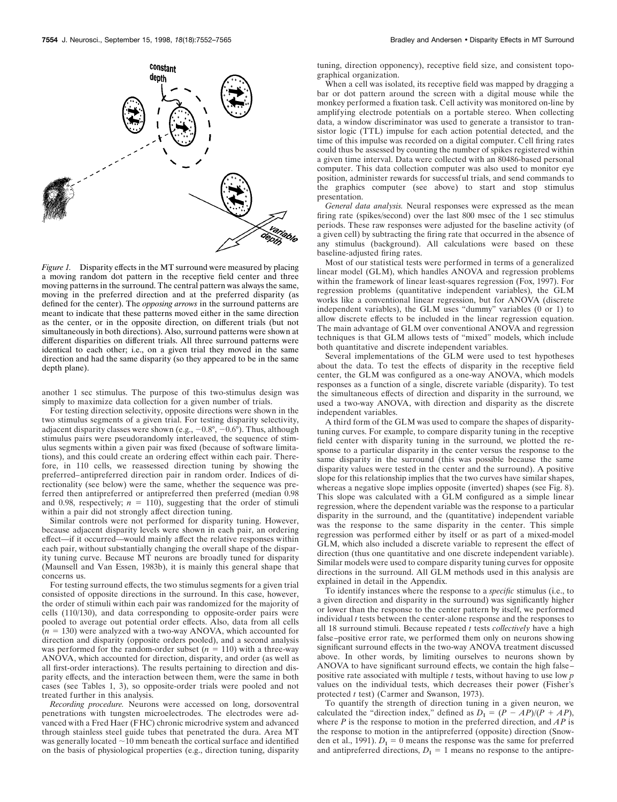

*Figure 1.* Disparity effects in the MT surround were measured by placing a moving random dot pattern in the receptive field center and three moving patterns in the surround. The central pattern was always the same, moving in the preferred direction and at the preferred disparity (as defined for the center). The *opposing arrows* in the surround patterns are meant to indicate that these patterns moved either in the same direction as the center, or in the opposite direction, on different trials (but not simultaneously in both directions). Also, surround patterns were shown at different disparities on different trials. All three surround patterns were identical to each other; i.e., on a given trial they moved in the same direction and had the same disparity (so they appeared to be in the same depth plane).

another 1 sec stimulus. The purpose of this two-stimulus design was simply to maximize data collection for a given number of trials.

For testing direction selectivity, opposite directions were shown in the two stimulus segments of a given trial. For testing disparity selectivity, adjacent disparity classes were shown (e.g.,  $-0.8^\circ$ ,  $-0.6^\circ$ ). Thus, although stimulus pairs were pseudorandomly interleaved, the sequence of stimulus segments within a given pair was fixed (because of software limitations), and this could create an ordering effect within each pair. Therefore, in 110 cells, we reassessed direction tuning by showing the preferred–antipreferred direction pair in random order. Indices of directionality (see below) were the same, whether the sequence was preferred then antipreferred or antipreferred then preferred (median 0.98 and 0.98, respectively;  $n = 110$ ), suggesting that the order of stimuli within a pair did not strongly affect direction tuning.

Similar controls were not performed for disparity tuning. However, because adjacent disparity levels were shown in each pair, an ordering effect—if it occurred—would mainly affect the relative responses within each pair, without substantially changing the overall shape of the disparity tuning curve. Because MT neurons are broadly tuned for disparity (Maunsell and Van Essen, 1983b), it is mainly this general shape that concerns us.

For testing surround effects, the two stimulus segments for a given trial consisted of opposite directions in the surround. In this case, however, the order of stimuli within each pair was randomized for the majority of cells (110/130), and data corresponding to opposite-order pairs were pooled to average out potential order effects. Also, data from all cells  $(n = 130)$  were analyzed with a two-way ANOVA, which accounted for direction and disparity (opposite orders pooled), and a second analysis was performed for the random-order subset  $(n = 110)$  with a three-way ANOVA, which accounted for direction, disparity, and order (as well as all first-order interactions). The results pertaining to direction and disparity effects, and the interaction between them, were the same in both cases (see Tables 1, 3), so opposite-order trials were pooled and not treated further in this analysis.

*Recording procedure.* Neurons were accessed on long, dorsoventral penetrations with tungsten microelectrodes. The electrodes were advanced with a Fred Haer (FHC) chronic microdrive system and advanced through stainless steel guide tubes that penetrated the dura. Area MT was generally located  $\sim$ 10 mm beneath the cortical surface and identified on the basis of physiological properties (e.g., direction tuning, disparity

tuning, direction opponency), receptive field size, and consistent topographical organization.

When a cell was isolated, its receptive field was mapped by dragging a bar or dot pattern around the screen with a digital mouse while the monkey performed a fixation task. Cell activity was monitored on-line by amplifying electrode potentials on a portable stereo. When collecting data, a window discriminator was used to generate a transistor to transistor logic (TTL) impulse for each action potential detected, and the time of this impulse was recorded on a digital computer. Cell firing rates could thus be assessed by counting the number of spikes registered within a given time interval. Data were collected with an 80486-based personal computer. This data collection computer was also used to monitor eye position, administer rewards for successful trials, and send commands to the graphics computer (see above) to start and stop stimulus presentation.

*General data analysis.* Neural responses were expressed as the mean firing rate (spikes/second) over the last 800 msec of the 1 sec stimulus periods. These raw responses were adjusted for the baseline activity (of a given cell) by subtracting the firing rate that occurred in the absence of any stimulus (background). All calculations were based on these baseline-adjusted firing rates.

Most of our statistical tests were performed in terms of a generalized linear model (GLM), which handles ANOVA and regression problems within the framework of linear least-squares regression (Fox, 1997). For regression problems (quantitative independent variables), the GLM works like a conventional linear regression, but for ANOVA (discrete independent variables), the GLM uses "dummy" variables (0 or 1) to allow discrete effects to be included in the linear regression equation. The main advantage of GLM over conventional ANOVA and regression techniques is that GLM allows tests of "mixed" models, which include both quantitative and discrete independent variables.

Several implementations of the GLM were used to test hypotheses about the data. To test the effects of disparity in the receptive field center, the GLM was configured as a one-way ANOVA, which models responses as a function of a single, discrete variable (disparity). To test the simultaneous effects of direction and disparity in the surround, we used a two-way ANOVA, with direction and disparity as the discrete independent variables.

A third form of the GLM was used to compare the shapes of disparitytuning curves. For example, to compare disparity tuning in the receptive field center with disparity tuning in the surround, we plotted the response to a particular disparity in the center versus the response to the same disparity in the surround (this was possible because the same disparity values were tested in the center and the surround). A positive slope for this relationship implies that the two curves have similar shapes, whereas a negative slope implies opposite (inverted) shapes (see Fig. 8). This slope was calculated with a GLM configured as a simple linear regression, where the dependent variable was the response to a particular disparity in the surround, and the (quantitative) independent variable was the response to the same disparity in the center. This simple regression was performed either by itself or as part of a mixed-model GLM, which also included a discrete variable to represent the effect of direction (thus one quantitative and one discrete independent variable). Similar models were used to compare disparity tuning curves for opposite directions in the surround. All GLM methods used in this analysis are explained in detail in the Appendix.

To identify instances where the response to a *specific* stimulus (i.e., to a given direction and disparity in the surround) was significantly higher or lower than the response to the center pattern by itself, we performed individual *t* tests between the center-alone response and the responses to all 18 surround stimuli. Because repeated *t* tests *collectively* have a high false–positive error rate, we performed them only on neurons showing significant surround effects in the two-way ANOVA treatment discussed above. In other words, by limiting ourselves to neurons shown by ANOVA to have significant surround effects, we contain the high false– positive rate associated with multiple *t* tests, without having to use low *p* values on the individual tests, which decreases their power (Fisher's protected *t* test) (Carmer and Swanson, 1973).

To quantify the strength of direction tuning in a given neuron, we calculated the "direction index," defined as  $D_I = (P - AP)/(P + AP)$ , where *P* is the response to motion in the preferred direction, and *AP* is the response to motion in the antipreferred (opposite) direction (Snowden et al., 1991).  $D<sub>I</sub> = 0$  means the response was the same for preferred and antipreferred directions,  $D<sub>I</sub> = 1$  means no response to the antipre-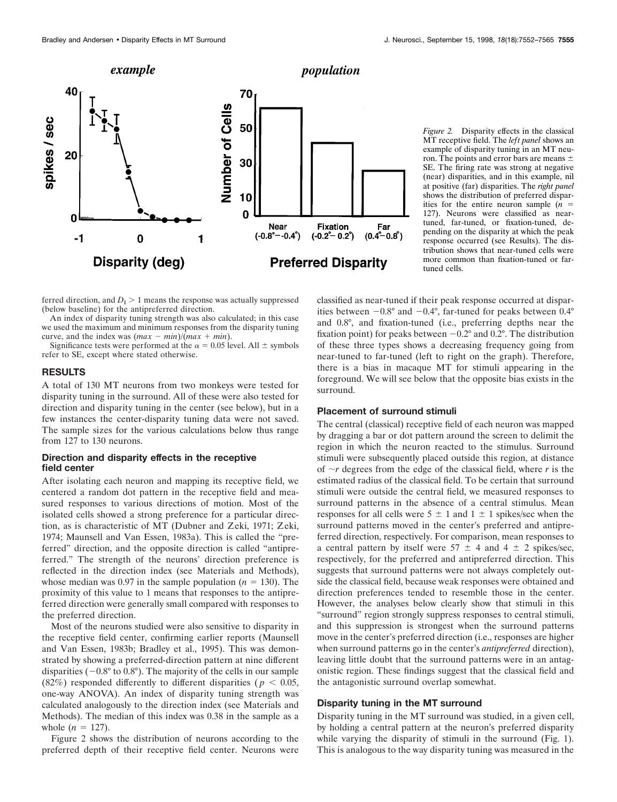

*Figure 2.* Disparity effects in the classical MT receptive field. The *left panel* shows an example of disparity tuning in an MT neuron. The points and error bars are means  $\pm$ SE. The firing rate was strong at negative (near) disparities, and in this example, nil at positive (far) disparities. The *right panel* shows the distribution of preferred disparities for the entire neuron sample  $(n =$ 127). Neurons were classified as neartuned, far-tuned, or fixation-tuned, depending on the disparity at which the peak response occurred (see Results). The distribution shows that near-tuned cells were more common than fixation-tuned or fartuned cells.

ferred direction, and  $D<sub>I</sub> > 1$  means the response was actually suppressed (below baseline) for the antipreferred direction.

An index of disparity tuning strength was also calculated; in this case we used the maximum and minimum responses from the disparity tuning curve, and the index was  $(max - min)/(max + min)$ .

Significance tests were performed at the  $\alpha = 0.05$  level. All  $\pm$  symbols refer to SE, except where stated otherwise.

# **RESULTS**

A total of 130 MT neurons from two monkeys were tested for disparity tuning in the surround. All of these were also tested for direction and disparity tuning in the center (see below), but in a few instances the center-disparity tuning data were not saved. The sample sizes for the various calculations below thus range from 127 to 130 neurons.

# **Direction and disparity effects in the receptive field center**

After isolating each neuron and mapping its receptive field, we centered a random dot pattern in the receptive field and measured responses to various directions of motion. Most of the isolated cells showed a strong preference for a particular direction, as is characteristic of MT (Dubner and Zeki, 1971; Zeki, 1974; Maunsell and Van Essen, 1983a). This is called the "preferred" direction, and the opposite direction is called "antipreferred." The strength of the neurons' direction preference is reflected in the direction index (see Materials and Methods), whose median was 0.97 in the sample population  $(n = 130)$ . The proximity of this value to 1 means that responses to the antipreferred direction were generally small compared with responses to the preferred direction.

Most of the neurons studied were also sensitive to disparity in the receptive field center, confirming earlier reports (Maunsell and Van Essen, 1983b; Bradley et al., 1995). This was demonstrated by showing a preferred-direction pattern at nine different disparities ( $-0.8^{\circ}$  to 0.8°). The majority of the cells in our sample (82%) responded differently to different disparities ( $p < 0.05$ , one-way ANOVA). An index of disparity tuning strength was calculated analogously to the direction index (see Materials and Methods). The median of this index was 0.38 in the sample as a whole  $(n = 127)$ .

Figure 2 shows the distribution of neurons according to the preferred depth of their receptive field center. Neurons were

classified as near-tuned if their peak response occurred at disparities between  $-0.8^\circ$  and  $-0.4^\circ$ , far-tuned for peaks between  $0.4^\circ$ and 0.8°, and fixation-tuned (i.e., preferring depths near the fixation point) for peaks between  $-0.2^{\circ}$  and 0.2°. The distribution of these three types shows a decreasing frequency going from near-tuned to far-tuned (left to right on the graph). Therefore, there is a bias in macaque MT for stimuli appearing in the foreground. We will see below that the opposite bias exists in the surround.

## **Placement of surround stimuli**

The central (classical) receptive field of each neuron was mapped by dragging a bar or dot pattern around the screen to delimit the region in which the neuron reacted to the stimulus. Surround stimuli were subsequently placed outside this region, at distance of  $\sim r$  degrees from the edge of the classical field, where *r* is the estimated radius of the classical field. To be certain that surround stimuli were outside the central field, we measured responses to surround patterns in the absence of a central stimulus. Mean responses for all cells were  $5 \pm 1$  and  $1 \pm 1$  spikes/sec when the surround patterns moved in the center's preferred and antipreferred direction, respectively. For comparison, mean responses to a central pattern by itself were  $57 \pm 4$  and  $4 \pm 2$  spikes/sec, respectively, for the preferred and antipreferred direction. This suggests that surround patterns were not always completely outside the classical field, because weak responses were obtained and direction preferences tended to resemble those in the center. However, the analyses below clearly show that stimuli in this "surround" region strongly suppress responses to central stimuli, and this suppression is strongest when the surround patterns move in the center's preferred direction (i.e., responses are higher when surround patterns go in the center's *antipreferred* direction), leaving little doubt that the surround patterns were in an antagonistic region. These findings suggest that the classical field and the antagonistic surround overlap somewhat.

# **Disparity tuning in the MT surround**

Disparity tuning in the MT surround was studied, in a given cell, by holding a central pattern at the neuron's preferred disparity while varying the disparity of stimuli in the surround (Fig. 1). This is analogous to the way disparity tuning was measured in the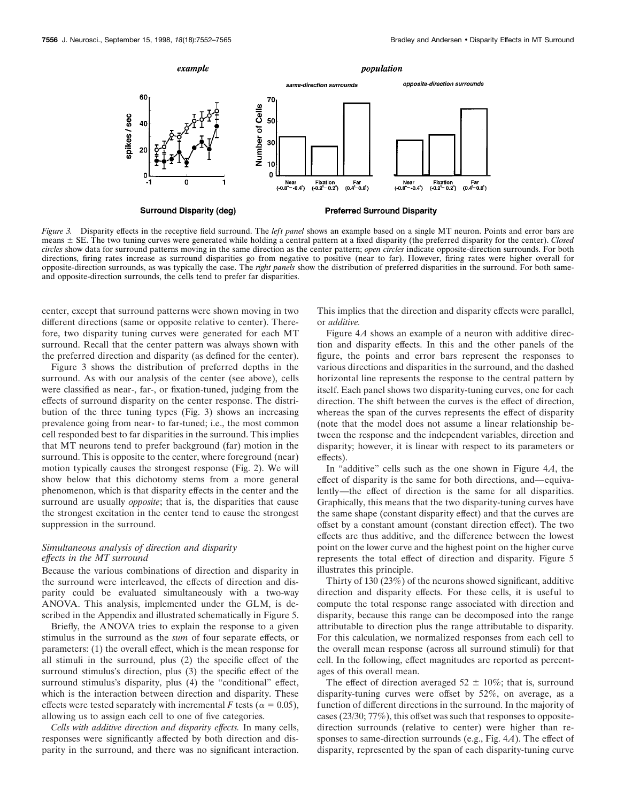

**Surround Disparity (deg)** 

**Preferred Surround Disparity** 

*Figure 3.* Disparity effects in the receptive field surround. The *left panel* shows an example based on a single MT neuron. Points and error bars are means  $\pm$  SE. The two tuning curves were generated while holding a central pattern at a fixed disparity (the preferred disparity for the center). *Closed circles* show data for surround patterns moving in the same direction as the center pattern; *open circles* indicate opposite-direction surrounds. For both directions, firing rates increase as surround disparities go from negative to positive (near to far). However, firing rates were higher overall for opposite-direction surrounds, as was typically the case. The *right panels* show the distribution of preferred disparities in the surround. For both sameand opposite-direction surrounds, the cells tend to prefer far disparities.

center, except that surround patterns were shown moving in two different directions (same or opposite relative to center). Therefore, two disparity tuning curves were generated for each MT surround. Recall that the center pattern was always shown with the preferred direction and disparity (as defined for the center).

Figure 3 shows the distribution of preferred depths in the surround. As with our analysis of the center (see above), cells were classified as near-, far-, or fixation-tuned, judging from the effects of surround disparity on the center response. The distribution of the three tuning types (Fig. 3) shows an increasing prevalence going from near- to far-tuned; i.e., the most common cell responded best to far disparities in the surround. This implies that MT neurons tend to prefer background (far) motion in the surround. This is opposite to the center, where foreground (near) motion typically causes the strongest response (Fig. 2). We will show below that this dichotomy stems from a more general phenomenon, which is that disparity effects in the center and the surround are usually *opposite*; that is, the disparities that cause the strongest excitation in the center tend to cause the strongest suppression in the surround.

# *Simultaneous analysis of direction and disparity effects in the MT surround*

Because the various combinations of direction and disparity in the surround were interleaved, the effects of direction and disparity could be evaluated simultaneously with a two-way ANOVA. This analysis, implemented under the GLM, is described in the Appendix and illustrated schematically in Figure 5.

Briefly, the ANOVA tries to explain the response to a given stimulus in the surround as the *sum* of four separate effects, or parameters: (1) the overall effect, which is the mean response for all stimuli in the surround, plus (2) the specific effect of the surround stimulus's direction, plus (3) the specific effect of the surround stimulus's disparity, plus (4) the "conditional" effect, which is the interaction between direction and disparity. These effects were tested separately with incremental *F* tests ( $\alpha = 0.05$ ), allowing us to assign each cell to one of five categories.

*Cells with additive direction and disparity effects.* In many cells, responses were significantly affected by both direction and disparity in the surround, and there was no significant interaction.

This implies that the direction and disparity effects were parallel, or *additive.*

Figure 4*A* shows an example of a neuron with additive direction and disparity effects. In this and the other panels of the figure, the points and error bars represent the responses to various directions and disparities in the surround, and the dashed horizontal line represents the response to the central pattern by itself. Each panel shows two disparity-tuning curves, one for each direction. The shift between the curves is the effect of direction, whereas the span of the curves represents the effect of disparity (note that the model does not assume a linear relationship between the response and the independent variables, direction and disparity; however, it is linear with respect to its parameters or effects).

In "additive" cells such as the one shown in Figure 4*A*, the effect of disparity is the same for both directions, and—equivalently—the effect of direction is the same for all disparities. Graphically, this means that the two disparity-tuning curves have the same shape (constant disparity effect) and that the curves are offset by a constant amount (constant direction effect). The two effects are thus additive, and the difference between the lowest point on the lower curve and the highest point on the higher curve represents the total effect of direction and disparity. Figure 5 illustrates this principle.

Thirty of 130 (23%) of the neurons showed significant, additive direction and disparity effects. For these cells, it is useful to compute the total response range associated with direction and disparity, because this range can be decomposed into the range attributable to direction plus the range attributable to disparity. For this calculation, we normalized responses from each cell to the overall mean response (across all surround stimuli) for that cell. In the following, effect magnitudes are reported as percentages of this overall mean.

The effect of direction averaged  $52 \pm 10\%$ ; that is, surround disparity-tuning curves were offset by 52%, on average, as a function of different directions in the surround. In the majority of cases (23/30; 77%), this offset was such that responses to oppositedirection surrounds (relative to center) were higher than responses to same-direction surrounds (e.g., Fig. 4*A*). The effect of disparity, represented by the span of each disparity-tuning curve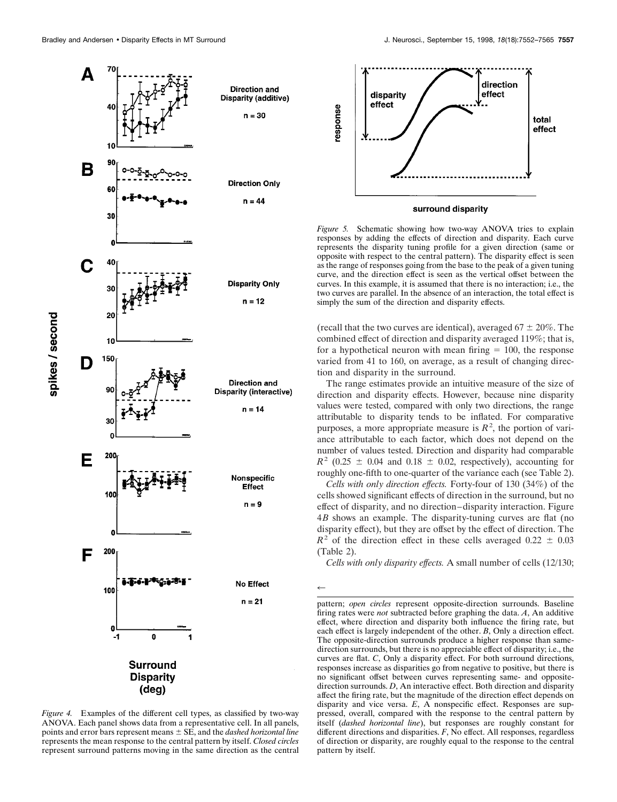

spikes / second

*Figure 4.* Examples of the different cell types, as classified by two-way ANOVA. Each panel shows data from a representative cell. In all panels, points and error bars represent means  $\pm$  SE, and the *dashed horizontal line* represents the mean response to the central pattern by itself. *Closed circles* represent surround patterns moving in the same direction as the central



*Figure 5.* Schematic showing how two-way ANOVA tries to explain responses by adding the effects of direction and disparity. Each curve represents the disparity tuning profile for a given direction (same or opposite with respect to the central pattern). The disparity effect is seen as the range of responses going from the base to the peak of a given tuning curve, and the direction effect is seen as the vertical offset between the curves. In this example, it is assumed that there is no interaction; i.e., the two curves are parallel. In the absence of an interaction, the total effect is simply the sum of the direction and disparity effects.

(recall that the two curves are identical), averaged  $67 \pm 20\%$ . The combined effect of direction and disparity averaged 119%; that is, for a hypothetical neuron with mean firing  $= 100$ , the response varied from 41 to 160, on average, as a result of changing direction and disparity in the surround.

The range estimates provide an intuitive measure of the size of direction and disparity effects. However, because nine disparity values were tested, compared with only two directions, the range attributable to disparity tends to be inflated. For comparative purposes, a more appropriate measure is  $R<sup>2</sup>$ , the portion of variance attributable to each factor, which does not depend on the number of values tested. Direction and disparity had comparable  $R^2$  (0.25  $\pm$  0.04 and 0.18  $\pm$  0.02, respectively), accounting for roughly one-fifth to one-quarter of the variance each (see Table 2).

*Cells with only direction effects.* Forty-four of 130 (34%) of the cells showed significant effects of direction in the surround, but no effect of disparity, and no direction–disparity interaction. Figure 4*B* shows an example. The disparity-tuning curves are flat (no disparity effect), but they are offset by the effect of direction. The  $R^2$  of the direction effect in these cells averaged  $0.22 \pm 0.03$ (Table 2).

*Cells with only disparity effects.* A small number of cells (12/130;

 $\leftarrow$ 

pattern; *open circles* represent opposite-direction surrounds. Baseline firing rates were *not* subtracted before graphing the data. *A*, An additive effect, where direction and disparity both influence the firing rate, but each effect is largely independent of the other. *B*, Only a direction effect. The opposite-direction surrounds produce a higher response than samedirection surrounds, but there is no appreciable effect of disparity; i.e., the curves are flat. *C*, Only a disparity effect. For both surround directions, responses increase as disparities go from negative to positive, but there is no significant offset between curves representing same- and oppositedirection surrounds. *D*, An interactive effect. Both direction and disparity affect the firing rate, but the magnitude of the direction effect depends on disparity and vice versa. *E*, A nonspecific effect. Responses are suppressed, overall, compared with the response to the central pattern by itself (*dashed horizontal line*), but responses are roughly constant for different directions and disparities. *F*, No effect. All responses, regardless of direction or disparity, are roughly equal to the response to the central pattern by itself.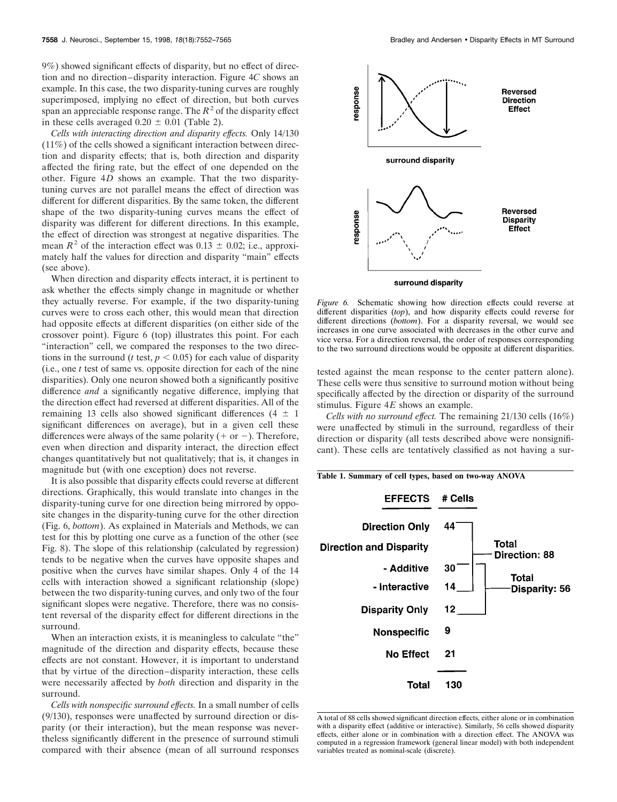9%) showed significant effects of disparity, but no effect of direction and no direction–disparity interaction. Figure 4*C* shows an example. In this case, the two disparity-tuning curves are roughly superimposed, implying no effect of direction, but both curves span an appreciable response range. The  $R^2$  of the disparity effect in these cells averaged  $0.20 \pm 0.01$  (Table 2).

*Cells with interacting direction and disparity effects.* Only 14/130 (11%) of the cells showed a significant interaction between direction and disparity effects; that is, both direction and disparity affected the firing rate, but the effect of one depended on the other. Figure 4*D* shows an example. That the two disparitytuning curves are not parallel means the effect of direction was different for different disparities. By the same token, the different shape of the two disparity-tuning curves means the effect of disparity was different for different directions. In this example, the effect of direction was strongest at negative disparities. The mean  $R^2$  of the interaction effect was  $0.13 \pm 0.02$ ; i.e., approximately half the values for direction and disparity "main" effects (see above).

When direction and disparity effects interact, it is pertinent to ask whether the effects simply change in magnitude or whether they actually reverse. For example, if the two disparity-tuning curves were to cross each other, this would mean that direction had opposite effects at different disparities (on either side of the crossover point). Figure 6 (top) illustrates this point. For each "interaction" cell, we compared the responses to the two directions in the surround (*t* test,  $p < 0.05$ ) for each value of disparity (i.e., one *t* test of same vs. opposite direction for each of the nine disparities). Only one neuron showed both a significantly positive difference *and* a significantly negative difference, implying that the direction effect had reversed at different disparities. All of the remaining 13 cells also showed significant differences (4  $\pm$  1 significant differences on average), but in a given cell these differences were always of the same polarity  $(+ or -)$ . Therefore, even when direction and disparity interact, the direction effect changes quantitatively but not qualitatively; that is, it changes in magnitude but (with one exception) does not reverse.

It is also possible that disparity effects could reverse at different directions. Graphically, this would translate into changes in the disparity-tuning curve for one direction being mirrored by opposite changes in the disparity-tuning curve for the other direction (Fig. 6, *bottom*). As explained in Materials and Methods, we can test for this by plotting one curve as a function of the other (see Fig. 8). The slope of this relationship (calculated by regression) tends to be negative when the curves have opposite shapes and positive when the curves have similar shapes. Only 4 of the 14 cells with interaction showed a significant relationship (slope) between the two disparity-tuning curves, and only two of the four significant slopes were negative. Therefore, there was no consistent reversal of the disparity effect for different directions in the surround.

When an interaction exists, it is meaningless to calculate "the" magnitude of the direction and disparity effects, because these effects are not constant. However, it is important to understand that by virtue of the direction–disparity interaction, these cells were necessarily affected by *both* direction and disparity in the surround.

*Cells with nonspecific surround effects.* In a small number of cells (9/130), responses were unaffected by surround direction or disparity (or their interaction), but the mean response was nevertheless significantly different in the presence of surround stimuli compared with their absence (mean of all surround responses



*Figure 6.* Schematic showing how direction effects could reverse at different disparities (*top*), and how disparity effects could reverse for different directions (*bottom*). For a disparity reversal, we would see increases in one curve associated with decreases in the other curve and vice versa. For a direction reversal, the order of responses corresponding to the two surround directions would be opposite at different disparities.

tested against the mean response to the center pattern alone). These cells were thus sensitive to surround motion without being specifically affected by the direction or disparity of the surround stimulus. Figure 4*E* shows an example.

*Cells with no surround effect.* The remaining 21/130 cells (16%) were unaffected by stimuli in the surround, regardless of their direction or disparity (all tests described above were nonsignificant). These cells are tentatively classified as not having a sur-





A total of 88 cells showed significant direction effects, either alone or in combination with a disparity effect (additive or interactive). Similarly, 56 cells showed disparity effects, either alone or in combination with a direction effect. The ANOVA was computed in a regression framework (general linear model) with both independent variables treated as nominal-scale (discrete).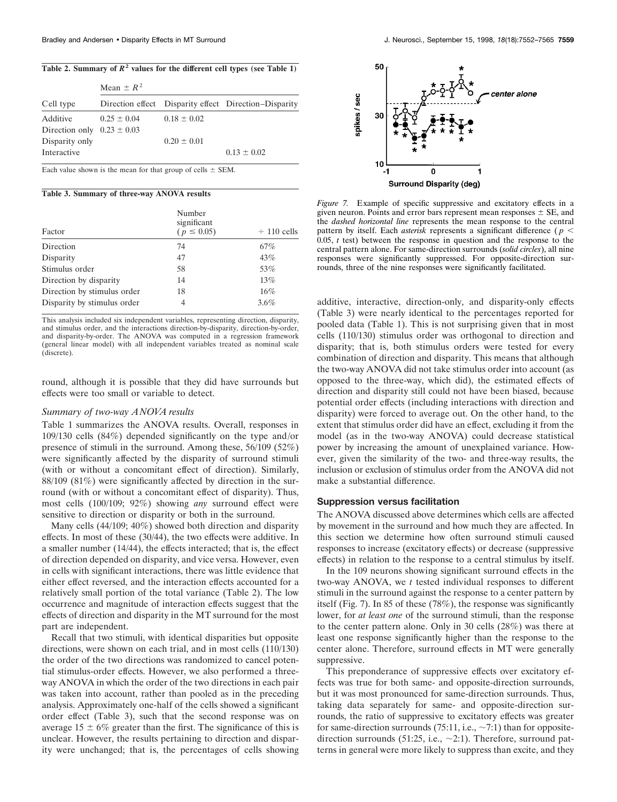# **Table 2. Summary of**  $R^2$  **values for the different cell types (see Table 1)**

|                                | Mean $\pm R^2$  |                 |                                                       |  |
|--------------------------------|-----------------|-----------------|-------------------------------------------------------|--|
| Cell type                      |                 |                 | Direction effect Disparity effect Direction-Disparity |  |
| Additive                       | $0.25 \pm 0.04$ | $0.18 \pm 0.02$ |                                                       |  |
| Direction only $0.23 \pm 0.03$ |                 |                 |                                                       |  |
| Disparity only                 |                 | $0.20 \pm 0.01$ |                                                       |  |
| Interactive                    |                 |                 | $0.13 \pm 0.02$                                       |  |

Each value shown is the mean for that group of cells  $\pm$  SEM.

#### **Table 3. Summary of three-way ANOVA results**

| Factor                      | Number<br>significant<br>$(p \le 0.05)$ | $\div$ 110 cells |
|-----------------------------|-----------------------------------------|------------------|
| Direction                   | 74                                      | 67%              |
| Disparity                   | 47                                      | 43%              |
| Stimulus order              | 58                                      | 53%              |
| Direction by disparity      | 14                                      | 13%              |
| Direction by stimulus order | 18                                      | 16%              |
| Disparity by stimulus order | 4                                       | $3.6\%$          |

This analysis included six independent variables, representing direction, disparity, and stimulus order, and the interactions direction-by-disparity, direction-by-order, and disparity-by-order. The ANOVA was computed in a regression framework (general linear model) with all independent variables treated as nominal scale (discrete).

round, although it is possible that they did have surrounds but effects were too small or variable to detect.

#### *Summary of two-way ANOVA results*

Table 1 summarizes the ANOVA results. Overall, responses in 109/130 cells (84%) depended significantly on the type and/or presence of stimuli in the surround. Among these, 56/109 (52%) were significantly affected by the disparity of surround stimuli (with or without a concomitant effect of direction). Similarly, 88/109 (81%) were significantly affected by direction in the surround (with or without a concomitant effect of disparity). Thus, most cells (100/109; 92%) showing *any* surround effect were sensitive to direction or disparity or both in the surround.

Many cells (44/109; 40%) showed both direction and disparity effects. In most of these (30/44), the two effects were additive. In a smaller number (14/44), the effects interacted; that is, the effect of direction depended on disparity, and vice versa. However, even in cells with significant interactions, there was little evidence that either effect reversed, and the interaction effects accounted for a relatively small portion of the total variance (Table 2). The low occurrence and magnitude of interaction effects suggest that the effects of direction and disparity in the MT surround for the most part are independent.

Recall that two stimuli, with identical disparities but opposite directions, were shown on each trial, and in most cells (110/130) the order of the two directions was randomized to cancel potential stimulus-order effects. However, we also performed a threeway ANOVA in which the order of the two directions in each pair was taken into account, rather than pooled as in the preceding analysis. Approximately one-half of the cells showed a significant order effect (Table 3), such that the second response was on average 15  $\pm$  6% greater than the first. The significance of this is unclear. However, the results pertaining to direction and disparity were unchanged; that is, the percentages of cells showing



*Figure 7.* Example of specific suppressive and excitatory effects in a given neuron. Points and error bars represent mean responses  $\pm$  SE, and the *dashed horizontal line* represents the mean response to the central pattern by itself. Each *asterisk* represents a significant difference ( $p <$ 0.05, *t* test) between the response in question and the response to the central pattern alone. For same-direction surrounds (*solid circles*), all nine responses were significantly suppressed. For opposite-direction surrounds, three of the nine responses were significantly facilitated.

additive, interactive, direction-only, and disparity-only effects (Table 3) were nearly identical to the percentages reported for pooled data (Table 1). This is not surprising given that in most cells (110/130) stimulus order was orthogonal to direction and disparity; that is, both stimulus orders were tested for every combination of direction and disparity. This means that although the two-way ANOVA did not take stimulus order into account (as opposed to the three-way, which did), the estimated effects of direction and disparity still could not have been biased, because potential order effects (including interactions with direction and disparity) were forced to average out. On the other hand, to the extent that stimulus order did have an effect, excluding it from the model (as in the two-way ANOVA) could decrease statistical power by increasing the amount of unexplained variance. However, given the similarity of the two- and three-way results, the inclusion or exclusion of stimulus order from the ANOVA did not make a substantial difference.

## **Suppression versus facilitation**

The ANOVA discussed above determines which cells are affected by movement in the surround and how much they are affected. In this section we determine how often surround stimuli caused responses to increase (excitatory effects) or decrease (suppressive effects) in relation to the response to a central stimulus by itself.

In the 109 neurons showing significant surround effects in the two-way ANOVA, we *t* tested individual responses to different stimuli in the surround against the response to a center pattern by itself (Fig. 7). In 85 of these (78%), the response was significantly lower, for *at least one* of the surround stimuli, than the response to the center pattern alone. Only in 30 cells (28%) was there at least one response significantly higher than the response to the center alone. Therefore, surround effects in MT were generally suppressive.

This preponderance of suppressive effects over excitatory effects was true for both same- and opposite-direction surrounds, but it was most pronounced for same-direction surrounds. Thus, taking data separately for same- and opposite-direction surrounds, the ratio of suppressive to excitatory effects was greater for same-direction surrounds (75:11, i.e.,  $\sim$  7:1) than for oppositedirection surrounds (51:25, i.e.,  $\sim$ 2:1). Therefore, surround patterns in general were more likely to suppress than excite, and they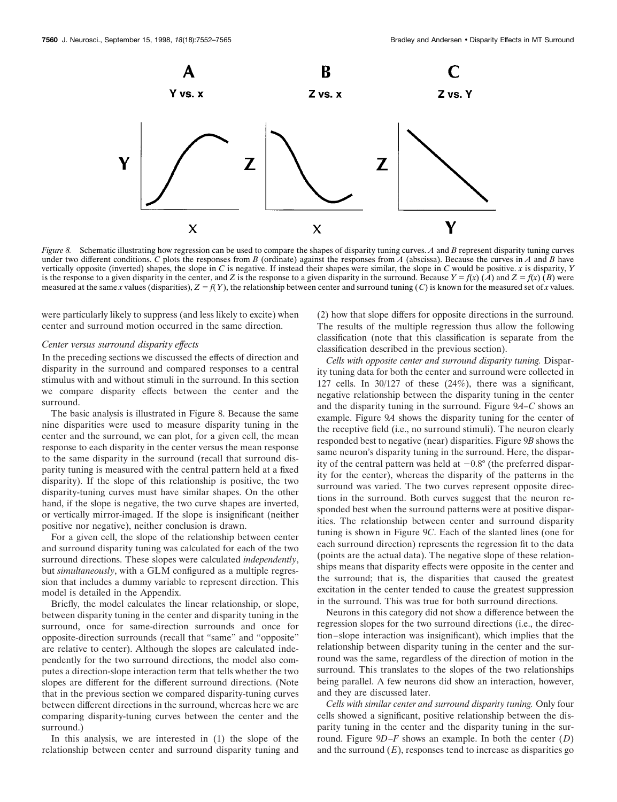

*Figure 8.* Schematic illustrating how regression can be used to compare the shapes of disparity tuning curves. *A* and *B* represent disparity tuning curves under two different conditions. *C* plots the responses from *B* (ordinate) against the responses from *A* (abscissa). Because the curves in *A* and *B* have vertically opposite (inverted) shapes, the slope in *C* is negative. If instead their shapes were similar, the slope in *C* would be positive. *x* is disparity, *Y* is the response to a given disparity in the center, and *Z* is the response to a given disparity in the surround. Because  $Y = f(x) (A)$  and  $Z = f(x) (B)$  were measured at the same *x* values (disparities),  $Z = f(Y)$ , the relationship between center and surround tuning (*C*) is known for the measured set of *x* values.

were particularly likely to suppress (and less likely to excite) when center and surround motion occurred in the same direction.

#### *Center versus surround disparity effects*

In the preceding sections we discussed the effects of direction and disparity in the surround and compared responses to a central stimulus with and without stimuli in the surround. In this section we compare disparity effects between the center and the surround.

The basic analysis is illustrated in Figure 8. Because the same nine disparities were used to measure disparity tuning in the center and the surround, we can plot, for a given cell, the mean response to each disparity in the center versus the mean response to the same disparity in the surround (recall that surround disparity tuning is measured with the central pattern held at a fixed disparity). If the slope of this relationship is positive, the two disparity-tuning curves must have similar shapes. On the other hand, if the slope is negative, the two curve shapes are inverted, or vertically mirror-imaged. If the slope is insignificant (neither positive nor negative), neither conclusion is drawn.

For a given cell, the slope of the relationship between center and surround disparity tuning was calculated for each of the two surround directions. These slopes were calculated *independently*, but *simultaneously*, with a GLM configured as a multiple regression that includes a dummy variable to represent direction. This model is detailed in the Appendix.

Briefly, the model calculates the linear relationship, or slope, between disparity tuning in the center and disparity tuning in the surround, once for same-direction surrounds and once for opposite-direction surrounds (recall that "same" and "opposite" are relative to center). Although the slopes are calculated independently for the two surround directions, the model also computes a direction-slope interaction term that tells whether the two slopes are different for the different surround directions. (Note that in the previous section we compared disparity-tuning curves between different directions in the surround, whereas here we are comparing disparity-tuning curves between the center and the surround.)

In this analysis, we are interested in (1) the slope of the relationship between center and surround disparity tuning and

(2) how that slope differs for opposite directions in the surround. The results of the multiple regression thus allow the following classification (note that this classification is separate from the classification described in the previous section).

*Cells with opposite center and surround disparity tuning.* Disparity tuning data for both the center and surround were collected in 127 cells. In 30/127 of these (24%), there was a significant, negative relationship between the disparity tuning in the center and the disparity tuning in the surround. Figure 9*A–C* shows an example. Figure 9*A* shows the disparity tuning for the center of the receptive field (i.e., no surround stimuli). The neuron clearly responded best to negative (near) disparities. Figure 9*B* shows the same neuron's disparity tuning in the surround. Here, the disparity of the central pattern was held at  $-0.8^{\circ}$  (the preferred disparity for the center), whereas the disparity of the patterns in the surround was varied. The two curves represent opposite directions in the surround. Both curves suggest that the neuron responded best when the surround patterns were at positive disparities. The relationship between center and surround disparity tuning is shown in Figure 9*C*. Each of the slanted lines (one for each surround direction) represents the regression fit to the data (points are the actual data). The negative slope of these relationships means that disparity effects were opposite in the center and the surround; that is, the disparities that caused the greatest excitation in the center tended to cause the greatest suppression in the surround. This was true for both surround directions.

Neurons in this category did not show a difference between the regression slopes for the two surround directions (i.e., the direction–slope interaction was insignificant), which implies that the relationship between disparity tuning in the center and the surround was the same, regardless of the direction of motion in the surround. This translates to the slopes of the two relationships being parallel. A few neurons did show an interaction, however, and they are discussed later.

*Cells with similar center and surround disparity tuning.* Only four cells showed a significant, positive relationship between the disparity tuning in the center and the disparity tuning in the surround. Figure 9*D–F* shows an example. In both the center (*D*) and the surround  $(E)$ , responses tend to increase as disparities go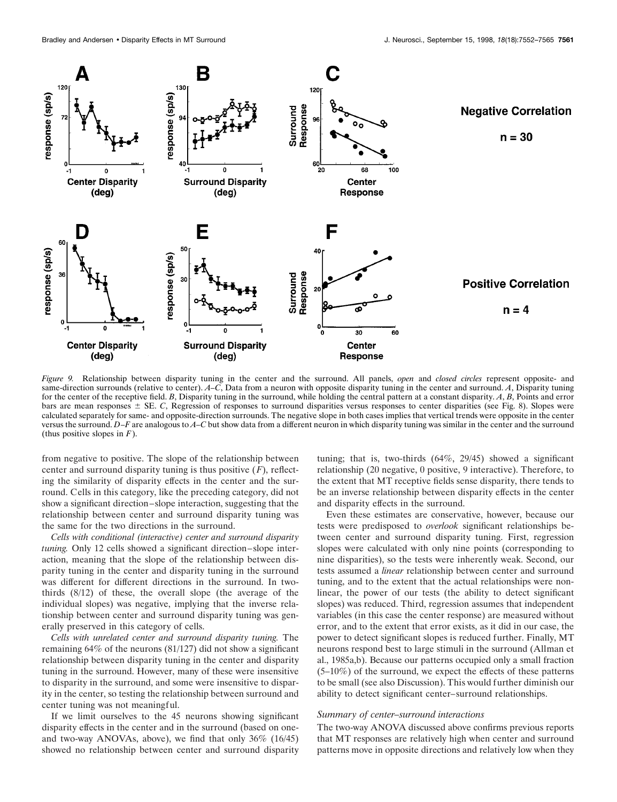

*Figure 9.* Relationship between disparity tuning in the center and the surround. All panels, *open* and *closed circles* represent opposite- and same-direction surrounds (relative to center). *A–C*, Data from a neuron with opposite disparity tuning in the center and surround. *A*, Disparity tuning for the center of the receptive field. *B*, Disparity tuning in the surround, while holding the central pattern at a constant disparity. *A*, *B*, Points and error bars are mean responses  $\pm$  SE. *C*, Regression of responses to surround disparities versus responses to center disparities (see Fig. 8). Slopes were calculated separately for same- and opposite-direction surrounds. The negative slope in both cases implies that vertical trends were opposite in the center versus the surround. *D–F* are analogous to *A–C* but show data from a different neuron in which disparity tuning was similar in the center and the surround (thus positive slopes in *F*).

from negative to positive. The slope of the relationship between center and surround disparity tuning is thus positive (*F*), reflecting the similarity of disparity effects in the center and the surround. Cells in this category, like the preceding category, did not show a significant direction–slope interaction, suggesting that the relationship between center and surround disparity tuning was the same for the two directions in the surround.

*Cells with conditional (interactive) center and surround disparity tuning.* Only 12 cells showed a significant direction–slope interaction, meaning that the slope of the relationship between disparity tuning in the center and disparity tuning in the surround was different for different directions in the surround. In twothirds (8/12) of these, the overall slope (the average of the individual slopes) was negative, implying that the inverse relationship between center and surround disparity tuning was generally preserved in this category of cells.

*Cells with unrelated center and surround disparity tuning.* The remaining 64% of the neurons (81/127) did not show a significant relationship between disparity tuning in the center and disparity tuning in the surround. However, many of these were insensitive to disparity in the surround, and some were insensitive to disparity in the center, so testing the relationship between surround and center tuning was not meaningful.

If we limit ourselves to the 45 neurons showing significant disparity effects in the center and in the surround (based on oneand two-way ANOVAs, above), we find that only 36% (16/45) showed no relationship between center and surround disparity tuning; that is, two-thirds (64%, 29/45) showed a significant relationship (20 negative, 0 positive, 9 interactive). Therefore, to the extent that MT receptive fields sense disparity, there tends to be an inverse relationship between disparity effects in the center and disparity effects in the surround.

Even these estimates are conservative, however, because our tests were predisposed to *overlook* significant relationships between center and surround disparity tuning. First, regression slopes were calculated with only nine points (corresponding to nine disparities), so the tests were inherently weak. Second, our tests assumed a *linear* relationship between center and surround tuning, and to the extent that the actual relationships were nonlinear, the power of our tests (the ability to detect significant slopes) was reduced. Third, regression assumes that independent variables (in this case the center response) are measured without error, and to the extent that error exists, as it did in our case, the power to detect significant slopes is reduced further. Finally, MT neurons respond best to large stimuli in the surround (Allman et al., 1985a,b). Because our patterns occupied only a small fraction (5–10%) of the surround, we expect the effects of these patterns to be small (see also Discussion). This would further diminish our ability to detect significant center–surround relationships.

#### *Summary of center–surround interactions*

The two-way ANOVA discussed above confirms previous reports that MT responses are relatively high when center and surround patterns move in opposite directions and relatively low when they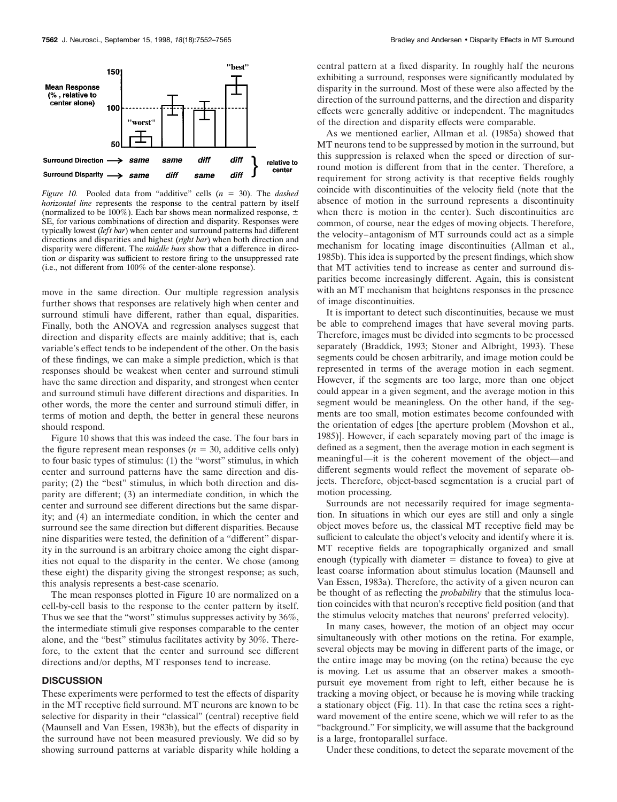

*Figure 10.* Pooled data from "additive" cells  $(n = 30)$ . The *dashed horizontal line* represents the response to the central pattern by itself (normalized to be 100%). Each bar shows mean normalized response,  $\pm$ SE, for various combinations of direction and disparity. Responses were typically lowest (*left bar*) when center and surround patterns had different directions and disparities and highest (*right bar*) when both direction and disparity were different. The *middle bars* show that a difference in direction *or* disparity was sufficient to restore firing to the unsuppressed rate (i.e., not different from 100% of the center-alone response).

move in the same direction. Our multiple regression analysis further shows that responses are relatively high when center and surround stimuli have different, rather than equal, disparities. Finally, both the ANOVA and regression analyses suggest that direction and disparity effects are mainly additive; that is, each variable's effect tends to be independent of the other. On the basis of these findings, we can make a simple prediction, which is that responses should be weakest when center and surround stimuli have the same direction and disparity, and strongest when center and surround stimuli have different directions and disparities. In other words, the more the center and surround stimuli differ, in terms of motion and depth, the better in general these neurons should respond.

Figure 10 shows that this was indeed the case. The four bars in the figure represent mean responses ( $n = 30$ , additive cells only) to four basic types of stimulus: (1) the "worst" stimulus, in which center and surround patterns have the same direction and disparity; (2) the "best" stimulus, in which both direction and disparity are different; (3) an intermediate condition, in which the center and surround see different directions but the same disparity; and (4) an intermediate condition, in which the center and surround see the same direction but different disparities. Because nine disparities were tested, the definition of a "different" disparity in the surround is an arbitrary choice among the eight disparities not equal to the disparity in the center. We chose (among these eight) the disparity giving the strongest response; as such, this analysis represents a best-case scenario.

The mean responses plotted in Figure 10 are normalized on a cell-by-cell basis to the response to the center pattern by itself. Thus we see that the "worst" stimulus suppresses activity by 36%, the intermediate stimuli give responses comparable to the center alone, and the "best" stimulus facilitates activity by 30%. Therefore, to the extent that the center and surround see different directions and/or depths, MT responses tend to increase.

#### **DISCUSSION**

These experiments were performed to test the effects of disparity in the MT receptive field surround. MT neurons are known to be selective for disparity in their "classical" (central) receptive field (Maunsell and Van Essen, 1983b), but the effects of disparity in the surround have not been measured previously. We did so by showing surround patterns at variable disparity while holding a

central pattern at a fixed disparity. In roughly half the neurons exhibiting a surround, responses were significantly modulated by disparity in the surround. Most of these were also affected by the direction of the surround patterns, and the direction and disparity effects were generally additive or independent. The magnitudes of the direction and disparity effects were comparable.

As we mentioned earlier, Allman et al. (1985a) showed that MT neurons tend to be suppressed by motion in the surround, but this suppression is relaxed when the speed or direction of surround motion is different from that in the center. Therefore, a requirement for strong activity is that receptive fields roughly coincide with discontinuities of the velocity field (note that the absence of motion in the surround represents a discontinuity when there is motion in the center). Such discontinuities are common, of course, near the edges of moving objects. Therefore, the velocity–antagonism of MT surrounds could act as a simple mechanism for locating image discontinuities (Allman et al., 1985b). This idea is supported by the present findings, which show that MT activities tend to increase as center and surround disparities become increasingly different. Again, this is consistent with an MT mechanism that heightens responses in the presence of image discontinuities.

It is important to detect such discontinuities, because we must be able to comprehend images that have several moving parts. Therefore, images must be divided into segments to be processed separately (Braddick, 1993; Stoner and Albright, 1993). These segments could be chosen arbitrarily, and image motion could be represented in terms of the average motion in each segment. However, if the segments are too large, more than one object could appear in a given segment, and the average motion in this segment would be meaningless. On the other hand, if the segments are too small, motion estimates become confounded with the orientation of edges [the aperture problem (Movshon et al., 1985)]. However, if each separately moving part of the image is defined as a segment, then the average motion in each segment is meaningful—it is the coherent movement of the object—and different segments would reflect the movement of separate objects. Therefore, object-based segmentation is a crucial part of motion processing.

Surrounds are not necessarily required for image segmentation. In situations in which our eyes are still and only a single object moves before us, the classical MT receptive field may be sufficient to calculate the object's velocity and identify where it is. MT receptive fields are topographically organized and small enough (typically with diameter  $=$  distance to fovea) to give at least coarse information about stimulus location (Maunsell and Van Essen, 1983a). Therefore, the activity of a given neuron can be thought of as reflecting the *probability* that the stimulus location coincides with that neuron's receptive field position (and that the stimulus velocity matches that neurons' preferred velocity).

In many cases, however, the motion of an object may occur simultaneously with other motions on the retina. For example, several objects may be moving in different parts of the image, or the entire image may be moving (on the retina) because the eye is moving. Let us assume that an observer makes a smoothpursuit eye movement from right to left, either because he is tracking a moving object, or because he is moving while tracking a stationary object (Fig. 11). In that case the retina sees a rightward movement of the entire scene, which we will refer to as the "background." For simplicity, we will assume that the background is a large, frontoparallel surface.

Under these conditions, to detect the separate movement of the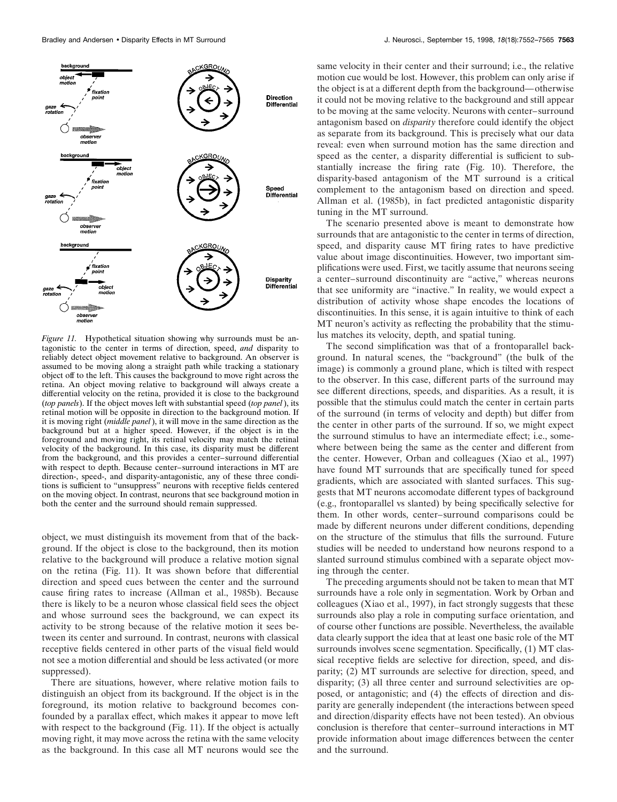

*Figure 11.* Hypothetical situation showing why surrounds must be antagonistic to the center in terms of direction, speed, *and* disparity to reliably detect object movement relative to background. An observer is assumed to be moving along a straight path while tracking a stationary object off to the left. This causes the background to move right across the retina. An object moving relative to background will always create a differential velocity on the retina, provided it is close to the background (*top panels*). If the object moves left with substantial speed (*top panel*), its retinal motion will be opposite in direction to the background motion. If it is moving right (*middle panel*), it will move in the same direction as the background but at a higher speed. However, if the object is in the foreground and moving right, its retinal velocity may match the retinal velocity of the background. In this case, its disparity must be different from the background, and this provides a center–surround differential with respect to depth. Because center–surround interactions in MT are direction-, speed-, and disparity-antagonistic, any of these three conditions is sufficient to "unsuppress" neurons with receptive fields centered on the moving object. In contrast, neurons that see background motion in both the center and the surround should remain suppressed.

object, we must distinguish its movement from that of the background. If the object is close to the background, then its motion relative to the background will produce a relative motion signal on the retina (Fig. 11). It was shown before that differential direction and speed cues between the center and the surround cause firing rates to increase (Allman et al., 1985b). Because there is likely to be a neuron whose classical field sees the object and whose surround sees the background, we can expect its activity to be strong because of the relative motion it sees between its center and surround. In contrast, neurons with classical receptive fields centered in other parts of the visual field would not see a motion differential and should be less activated (or more suppressed).

There are situations, however, where relative motion fails to distinguish an object from its background. If the object is in the foreground, its motion relative to background becomes confounded by a parallax effect, which makes it appear to move left with respect to the background (Fig. 11). If the object is actually moving right, it may move across the retina with the same velocity as the background. In this case all MT neurons would see the

same velocity in their center and their surround; i.e., the relative motion cue would be lost. However, this problem can only arise if the object is at a different depth from the background—otherwise it could not be moving relative to the background and still appear to be moving at the same velocity. Neurons with center–surround antagonism based on *disparity* therefore could identify the object as separate from its background. This is precisely what our data reveal: even when surround motion has the same direction and speed as the center, a disparity differential is sufficient to substantially increase the firing rate (Fig. 10). Therefore, the disparity-based antagonism of the MT surround is a critical complement to the antagonism based on direction and speed. Allman et al. (1985b), in fact predicted antagonistic disparity tuning in the MT surround.

The scenario presented above is meant to demonstrate how surrounds that are antagonistic to the center in terms of direction, speed, and disparity cause MT firing rates to have predictive value about image discontinuities. However, two important simplifications were used. First, we tacitly assume that neurons seeing a center–surround discontinuity are "active," whereas neurons that see uniformity are "inactive." In reality, we would expect a distribution of activity whose shape encodes the locations of discontinuities. In this sense, it is again intuitive to think of each MT neuron's activity as reflecting the probability that the stimulus matches its velocity, depth, and spatial tuning.

The second simplification was that of a frontoparallel background. In natural scenes, the "background" (the bulk of the image) is commonly a ground plane, which is tilted with respect to the observer. In this case, different parts of the surround may see different directions, speeds, and disparities. As a result, it is possible that the stimulus could match the center in certain parts of the surround (in terms of velocity and depth) but differ from the center in other parts of the surround. If so, we might expect the surround stimulus to have an intermediate effect; i.e., somewhere between being the same as the center and different from the center. However, Orban and colleagues (Xiao et al., 1997) have found MT surrounds that are specifically tuned for speed gradients, which are associated with slanted surfaces. This suggests that MT neurons accomodate different types of background (e.g., frontoparallel vs slanted) by being specifically selective for them. In other words, center–surround comparisons could be made by different neurons under different conditions, depending on the structure of the stimulus that fills the surround. Future studies will be needed to understand how neurons respond to a slanted surround stimulus combined with a separate object moving through the center.

The preceding arguments should not be taken to mean that MT surrounds have a role only in segmentation. Work by Orban and colleagues (Xiao et al., 1997), in fact strongly suggests that these surrounds also play a role in computing surface orientation, and of course other functions are possible. Nevertheless, the available data clearly support the idea that at least one basic role of the MT surrounds involves scene segmentation. Specifically, (1) MT classical receptive fields are selective for direction, speed, and disparity; (2) MT surrounds are selective for direction, speed, and disparity; (3) all three center and surround selectivities are opposed, or antagonistic; and (4) the effects of direction and disparity are generally independent (the interactions between speed and direction/disparity effects have not been tested). An obvious conclusion is therefore that center–surround interactions in MT provide information about image differences between the center and the surround.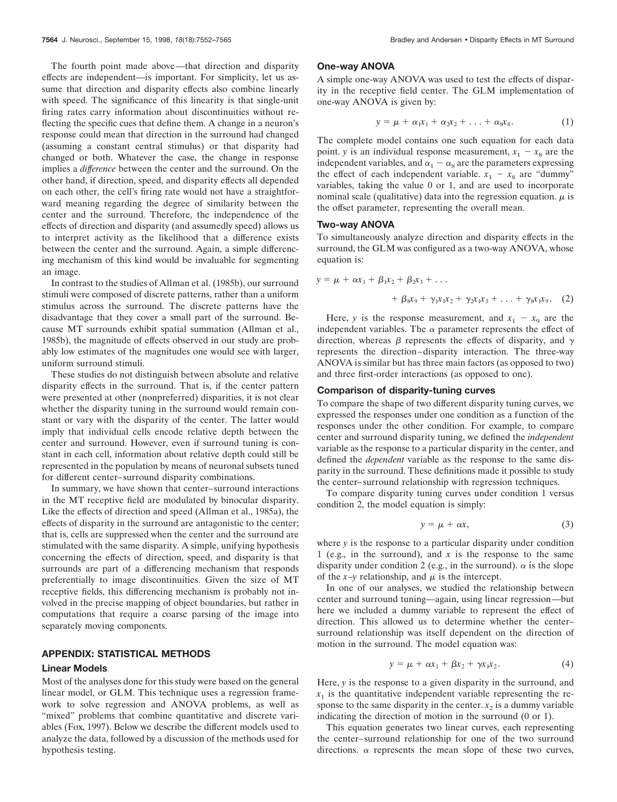The fourth point made above—that direction and disparity effects are independent—is important. For simplicity, let us assume that direction and disparity effects also combine linearly with speed. The significance of this linearity is that single-unit firing rates carry information about discontinuities without reflecting the specific cues that define them. A change in a neuron's response could mean that direction in the surround had changed (assuming a constant central stimulus) or that disparity had changed or both. Whatever the case, the change in response implies a *difference* between the center and the surround. On the other hand, if direction, speed, and disparity effects all depended on each other, the cell's firing rate would not have a straightforward meaning regarding the degree of similarity between the center and the surround. Therefore, the independence of the effects of direction and disparity (and assumedly speed) allows us to interpret activity as the likelihood that a difference exists between the center and the surround. Again, a simple differencing mechanism of this kind would be invaluable for segmenting an image.

In contrast to the studies of Allman et al. (1985b), our surround stimuli were composed of discrete patterns, rather than a uniform stimulus across the surround. The discrete patterns have the disadvantage that they cover a small part of the surround. Because MT surrounds exhibit spatial summation (Allman et al., 1985b), the magnitude of effects observed in our study are probably low estimates of the magnitudes one would see with larger, uniform surround stimuli.

These studies do not distinguish between absolute and relative disparity effects in the surround. That is, if the center pattern were presented at other (nonpreferred) disparities, it is not clear whether the disparity tuning in the surround would remain constant or vary with the disparity of the center. The latter would imply that individual cells encode relative depth between the center and surround. However, even if surround tuning is constant in each cell, information about relative depth could still be represented in the population by means of neuronal subsets tuned for different center–surround disparity combinations.

In summary, we have shown that center–surround interactions in the MT receptive field are modulated by binocular disparity. Like the effects of direction and speed (Allman et al., 1985a), the effects of disparity in the surround are antagonistic to the center; that is, cells are suppressed when the center and the surround are stimulated with the same disparity. A simple, unifying hypothesis concerning the effects of direction, speed, and disparity is that surrounds are part of a differencing mechanism that responds preferentially to image discontinuities. Given the size of MT receptive fields, this differencing mechanism is probably not involved in the precise mapping of object boundaries, but rather in computations that require a coarse parsing of the image into separately moving components.

# **APPENDIX: STATISTICAL METHODS**

# **Linear Models**

Most of the analyses done for this study were based on the general linear model, or GLM. This technique uses a regression framework to solve regression and ANOVA problems, as well as "mixed" problems that combine quantitative and discrete variables (Fox, 1997). Below we describe the different models used to analyze the data, followed by a discussion of the methods used for hypothesis testing.

#### **One-way ANOVA**

A simple one-way ANOVA was used to test the effects of disparity in the receptive field center. The GLM implementation of one-way ANOVA is given by:

$$
y = \mu + \alpha_1 x_1 + \alpha_2 x_2 + \ldots + \alpha_8 x_8. \qquad (1)
$$

The complete model contains one such equation for each data point. *y* is an individual response measurement,  $x_1 - x_8$  are the independent variables, and  $\alpha_1 - \alpha_8$  are the parameters expressing the effect of each independent variable.  $x_1 - x_8$  are "dummy" variables, taking the value 0 or 1, and are used to incorporate nominal scale (qualitative) data into the regression equation.  $\mu$  is the offset parameter, representing the overall mean.

# **Two-way ANOVA**

To simultaneously analyze direction and disparity effects in the surround, the GLM was configured as a two-way ANOVA, whose equation is:

$$
y = \mu + \alpha x_1 + \beta_1 x_2 + \beta_2 x_3 + \dots
$$
  
+ 
$$
\beta_8 x_9 + \gamma_1 x_1 x_2 + \gamma_2 x_1 x_3 + \dots + \gamma_8 x_1 x_9.
$$
 (2)

Here, *y* is the response measurement, and  $x_1 - x_9$  are the independent variables. The  $\alpha$  parameter represents the effect of direction, whereas  $\beta$  represents the effects of disparity, and  $\gamma$ represents the direction–disparity interaction. The three-way ANOVA is similar but has three main factors (as opposed to two) and three first-order interactions (as opposed to one).

# **Comparison of disparity-tuning curves**

To compare the shape of two different disparity tuning curves, we expressed the responses under one condition as a function of the responses under the other condition. For example, to compare center and surround disparity tuning, we defined the *independent* variable as the response to a particular disparity in the center, and defined the *dependent* variable as the response to the same disparity in the surround. These definitions made it possible to study the center–surround relationship with regression techniques.

To compare disparity tuning curves under condition 1 versus condition 2, the model equation is simply:

$$
y = \mu + \alpha x, \tag{3}
$$

where *y* is the response to a particular disparity under condition 1 (e.g., in the surround), and *x* is the response to the same disparity under condition 2 (e.g., in the surround).  $\alpha$  is the slope of the  $x-y$  relationship, and  $\mu$  is the intercept.

In one of our analyses, we studied the relationship between center and surround tuning—again, using linear regression—but here we included a dummy variable to represent the effect of direction. This allowed us to determine whether the center– surround relationship was itself dependent on the direction of motion in the surround. The model equation was:

$$
y = \mu + \alpha x_1 + \beta x_2 + \gamma x_1 x_2. \tag{4}
$$

Here, *y* is the response to a given disparity in the surround, and  $x<sub>1</sub>$  is the quantitative independent variable representing the response to the same disparity in the center.  $x_2$  is a dummy variable indicating the direction of motion in the surround (0 or 1).

This equation generates two linear curves, each representing the center–surround relationship for one of the two surround directions.  $\alpha$  represents the mean slope of these two curves,